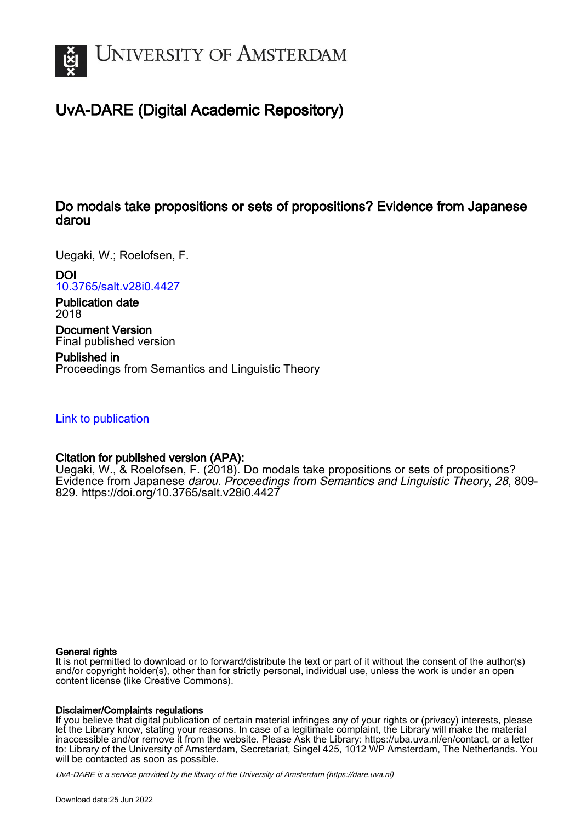

# UvA-DARE (Digital Academic Repository)

# Do modals take propositions or sets of propositions? Evidence from Japanese darou

Uegaki, W.; Roelofsen, F.

DOI

[10.3765/salt.v28i0.4427](https://doi.org/10.3765/salt.v28i0.4427)

Publication date 2018

Document Version Final published version

Published in Proceedings from Semantics and Linguistic Theory

# [Link to publication](https://dare.uva.nl/personal/pure/en/publications/do-modals-take-propositions-or-sets-of-propositions-evidence-from-japanese-darou(fe41b7f4-4a39-4d3e-a44c-507573a47801).html)

# Citation for published version (APA):

Uegaki, W., & Roelofsen, F. (2018). Do modals take propositions or sets of propositions? Evidence from Japanese darou. Proceedings from Semantics and Linguistic Theory, 28, 809-829. <https://doi.org/10.3765/salt.v28i0.4427>

#### General rights

It is not permitted to download or to forward/distribute the text or part of it without the consent of the author(s) and/or copyright holder(s), other than for strictly personal, individual use, unless the work is under an open content license (like Creative Commons).

#### Disclaimer/Complaints regulations

If you believe that digital publication of certain material infringes any of your rights or (privacy) interests, please let the Library know, stating your reasons. In case of a legitimate complaint, the Library will make the material inaccessible and/or remove it from the website. Please Ask the Library: https://uba.uva.nl/en/contact, or a letter to: Library of the University of Amsterdam, Secretariat, Singel 425, 1012 WP Amsterdam, The Netherlands. You will be contacted as soon as possible.

UvA-DARE is a service provided by the library of the University of Amsterdam (http*s*://dare.uva.nl)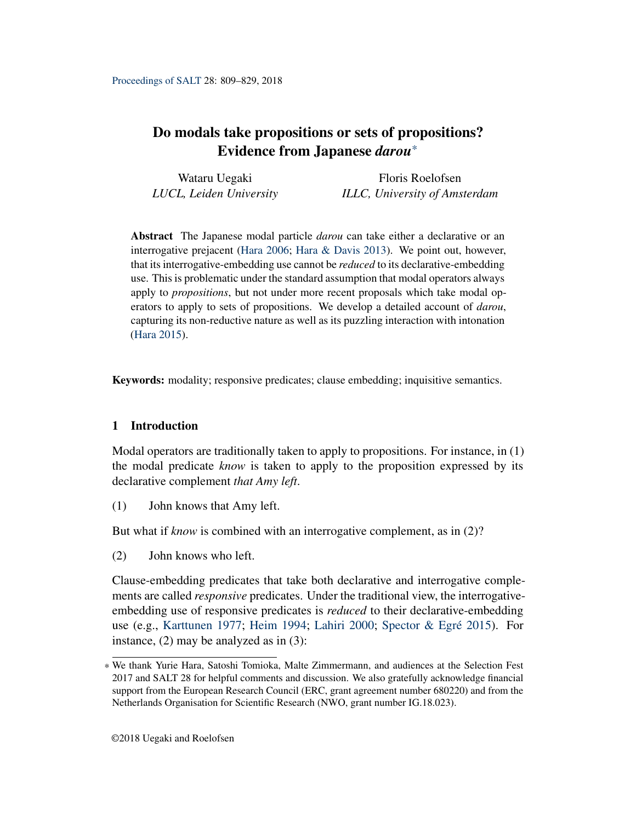Wataru Uegaki *LUCL, Leiden University* Floris Roelofsen *ILLC, University of Amsterdam*

Abstract The Japanese modal particle *darou* can take either a declarative or an interrogative prejacent ([Hara](#page-19-0) [2006](#page-19-0); [Hara & Davis](#page-19-1) [2013](#page-19-1)). We point out, however, that its interrogative-embedding use cannot be *reduced* to its declarative-embedding use. This is problematic under the standard assumption that modal operators always apply to *propositions*, but not under more recent proposals which take modal operators to apply to sets of propositions. We develop a detailed account of *darou*, capturing its non-reductive nature as well as its puzzling interaction with intonation [\(Hara](#page-19-2) [2015](#page-19-2)).

Keywords: modality; responsive predicates; clause embedding; inquisitive semantics.

# 1 Introduction

Modal operators are traditionally taken to apply to propositions. For instance, in (1) the modal predicate *know* is taken to apply to the proposition expressed by its declarative complement *that Amy left*.

<span id="page-1-0"></span>(1) John knows that Amy left.

But what if *know* is combined with an interrogative complement, as in (2)?

<span id="page-1-1"></span>(2) John knows who left.

Clause-embedding predicates that take both declarative and interrogative complements are called *responsive* predicates. Under the traditional view, the interrogativeembedding use of responsive predicates is *reduced* to their declarative-embedding use (e.g., [Karttunen](#page-20-0) [1977;](#page-20-0) [Heim](#page-19-3) [1994](#page-19-3); [Lahiri](#page-20-1) [2000](#page-20-1); [Spector & Egré](#page-20-2) [2015](#page-20-2)). For instance, (2) may be analyzed as in (3):

<sup>\*</sup> We thank Yurie Hara, Satoshi Tomioka, Malte Zimmermann, and audiences at the Selection Fest 2017 and SALT 28 for helpful comments and discussion. We also gratefully acknowledge financial support from the European Research Council (ERC, grant agreement number 680220) and from the Netherlands Organisation for Scientific Research (NWO, grant number IG.18.023).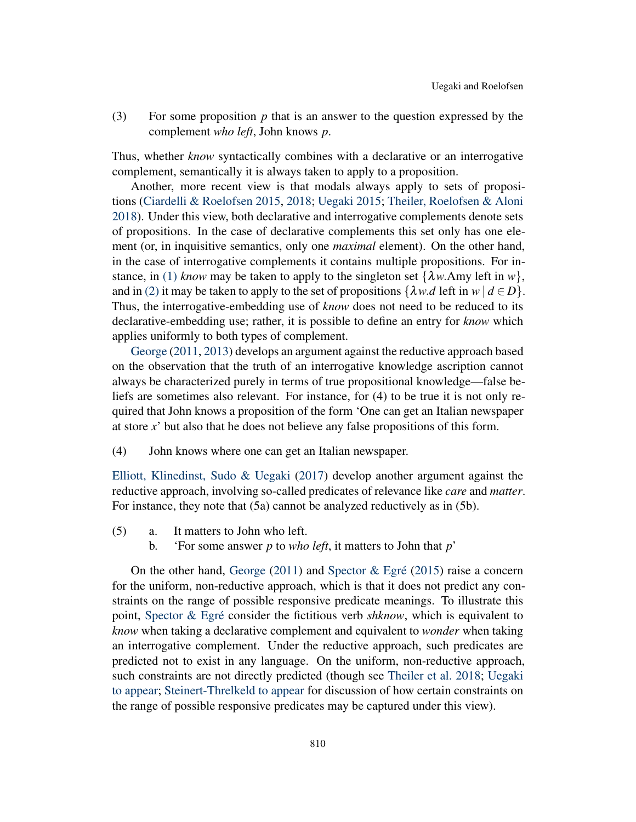(3) For some proposition *p* that is an answer to the question expressed by the complement *who left*, John knows *p*.

Thus, whether *know* syntactically combines with a declarative or an interrogative complement, semantically it is always taken to apply to a proposition.

Another, more recent view is that modals always apply to sets of propositions [\(Ciardelli & Roelofsen](#page-19-4) [2015](#page-19-4), [2018;](#page-19-5) [Uegaki](#page-20-3) [2015](#page-20-3); [Theiler, Roelofsen & Aloni](#page-20-4) [2018\)](#page-20-4). Under this view, both declarative and interrogative complements denote sets of propositions. In the case of declarative complements this set only has one element (or, in inquisitive semantics, only one *maximal* element). On the other hand, in the case of interrogative complements it contains multiple propositions. For in-stance, in [\(1\)](#page-1-0) *know* may be taken to apply to the singleton set  $\{\lambda w.Amy \text{ left in } w\}$ , and in [\(2\)](#page-1-1) it may be taken to apply to the set of propositions  $\{\lambda w.d \text{ left in } w \mid d \in D\}$ . Thus, the interrogative-embedding use of *know* does not need to be reduced to its declarative-embedding use; rather, it is possible to define an entry for *know* which applies uniformly to both types of complement.

[George](#page-19-6) [\(2011](#page-19-6), [2013](#page-19-7)) develops an argument against the reductive approach based on the observation that the truth of an interrogative knowledge ascription cannot always be characterized purely in terms of true propositional knowledge—false beliefs are sometimes also relevant. For instance, for (4) to be true it is not only required that John knows a proposition of the form 'One can get an Italian newspaper at store *x*' but also that he does not believe any false propositions of this form.

(4) John knows where one can get an Italian newspaper.

[Elliott, Klinedinst, Sudo & Uegaki](#page-19-8) [\(2017\)](#page-19-8) develop another argument against the reductive approach, involving so-called predicates of relevance like *care* and *matter*. For instance, they note that (5a) cannot be analyzed reductively as in (5b).

- (5) a. It matters to John who left.
	- b. 'For some answer *p* to *who left*, it matters to John that *p*'

On the other hand, [George](#page-19-6) [\(2011](#page-19-6)) and [Spector & Egré](#page-20-2) [\(2015](#page-20-2)) raise a concern for the uniform, non-reductive approach, which is that it does not predict any constraints on the range of possible responsive predicate meanings. To illustrate this point, [Spector & Egré](#page-20-2) consider the fictitious verb *shknow*, which is equivalent to *know* when taking a declarative complement and equivalent to *wonder* when taking an interrogative complement. Under the reductive approach, such predicates are predicted not to exist in any language. On the uniform, non-reductive approach, such constraints are not directly predicted (though see [Theiler et al.](#page-20-4) [2018;](#page-20-4) [Uegaki](#page-20-5) [to appear](#page-20-5); [Steinert-Threlkeld](#page-20-6) [to appear](#page-20-6) for discussion of how certain constraints on the range of possible responsive predicates may be captured under this view).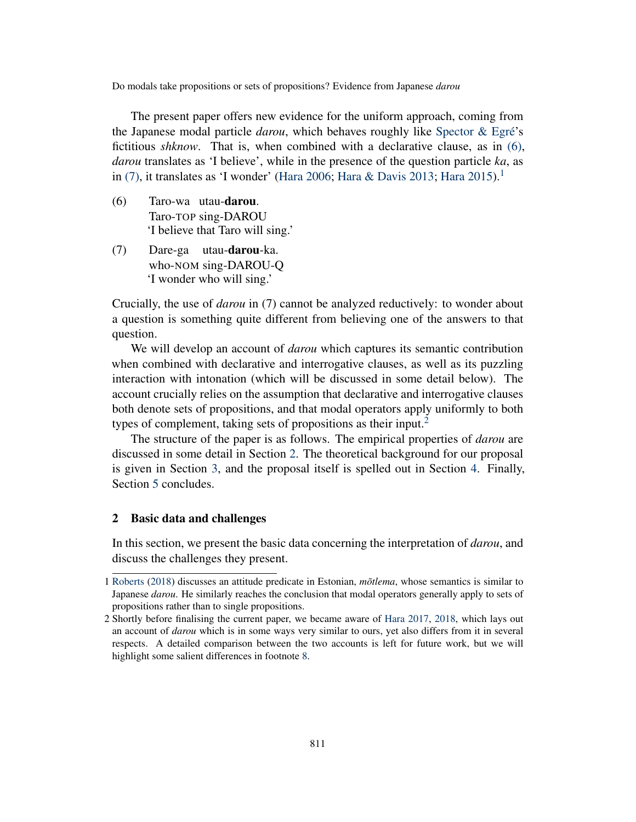The present paper offers new evidence for the uniform approach, coming from the Japanese modal particle *darou*, which behaves roughly like [Spector & Egré](#page-20-2)'s fictitious *shknow*. That is, when combined with a declarative clause, as in [\(6\),](#page-3-0) *darou* translates as 'I believe', while in the presence of the question particle *ka*, as in [\(7\)](#page-3-1), it translates as 'I wonder' ([Hara](#page-19-2) [2006;](#page-19-0) [Hara & Davis](#page-19-1) [2013](#page-19-1); Hara [2015\)](#page-19-2).<sup>[1](#page-3-2)</sup>

- <span id="page-3-0"></span>(6) Taro-wa utau-darou. Taro-TOP sing-DAROU 'I believe that Taro will sing.'
- <span id="page-3-1"></span>(7) Dare-ga utau-**darou**-ka. who-NOM sing-DAROU-Q 'I wonder who will sing.'

Crucially, the use of *darou* in (7) cannot be analyzed reductively: to wonder about a question is something quite different from believing one of the answers to that question.

We will develop an account of *darou* which captures its semantic contribution when combined with declarative and interrogative clauses, as well as its puzzling interaction with intonation (which will be discussed in some detail below). The account crucially relies on the assumption that declarative and interrogative clauses both denote sets of propositions, and that modal operators apply uniformly to both types of complement, taking sets of propositions as their input.<sup>[2](#page-3-3)</sup>

The structure of the paper is as follows. The empirical properties of *darou* are discussed in some detail in Section [2.](#page-3-4) The theoretical background for our proposal is given in Section [3,](#page-8-0) and the proposal itself is spelled out in Section [4](#page-10-0). Finally, Section [5](#page-18-0) concludes.

#### <span id="page-3-4"></span>2 Basic data and challenges

In this section, we present the basic data concerning the interpretation of *darou*, and discuss the challenges they present.

<span id="page-3-2"></span><sup>1</sup> [Roberts](#page-20-7) [\(2018](#page-20-7)) discusses an attitude predicate in Estonian, *mõtlema*, whose semantics is similar to Japanese *darou*. He similarly reaches the conclusion that modal operators generally apply to sets of propositions rather than to single propositions.

<span id="page-3-3"></span><sup>2</sup> Shortly before finalising the current paper, we became aware of [Hara](#page-19-9) [2017,](#page-19-9) [2018,](#page-19-10) which lays out an account of *darou* which is in some ways very similar to ours, yet also differs from it in several respects. A detailed comparison between the two accounts is left for future work, but we will highlight some salient differences in footnote [8.](#page-18-1)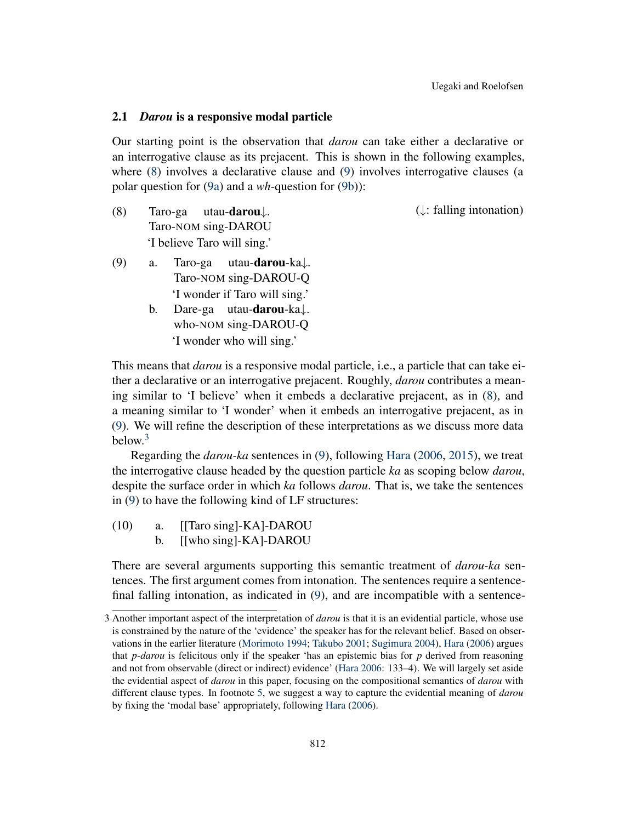#### 2.1 *Darou* is a responsive modal particle

Our starting point is the observation that *darou* can take either a declarative or an interrogative clause as its prejacent. This is shown in the following examples, where [\(8](#page-4-0)) involves a declarative clause and [\(9](#page-4-1)) involves interrogative clauses (a polar question for ([9a](#page-4-2)) and a *wh*-question for [\(9b](#page-4-3))):

<span id="page-4-0"></span>(8) Taro-ga Taro-NOM sing-DAROU utau-darou*↓*. 'I believe Taro will sing.' (*↓*: falling intonation)

- <span id="page-4-3"></span><span id="page-4-2"></span><span id="page-4-1"></span>(9) a. Taro-ga Taro-NOM sing-DAROU-Q utau-darou-ka*↓*. 'I wonder if Taro will sing.'
	- b. Dare-ga utau-darou-ka*↓*. who-NOM sing-DAROU-Q 'I wonder who will sing.'

This means that *darou* is a responsive modal particle, i.e., a particle that can take either a declarative or an interrogative prejacent. Roughly, *darou* contributes a meaning similar to 'I believe' when it embeds a declarative prejacent, as in ([8\)](#page-4-0), and a meaning similar to 'I wonder' when it embeds an interrogative prejacent, as in ([9\)](#page-4-1). We will refine the description of these interpretations as we discuss more data below.[3](#page-4-4)

Regarding the *darou-ka* sentences in [\(9](#page-4-1)), following [Hara](#page-19-0) [\(2006](#page-19-0), [2015\)](#page-19-2), we treat the interrogative clause headed by the question particle *ka* as scoping below *darou*, despite the surface order in which *ka* follows *darou*. That is, we take the sentences in [\(9](#page-4-1)) to have the following kind of LF structures:

(10) a. [[Taro sing]-KA]-DAROU b. [[who sing]-KA]-DAROU

There are several arguments supporting this semantic treatment of *darou-ka* sentences. The first argument comes from intonation. The sentences require a sentencefinal falling intonation, as indicated in ([9\)](#page-4-1), and are incompatible with a sentence-

<span id="page-4-4"></span><sup>3</sup> Another important aspect of the interpretation of *darou* is that it is an evidential particle, whose use is constrained by the nature of the 'evidence' the speaker has for the relevant belief. Based on observations in the earlier literature [\(Morimoto](#page-20-8) [1994;](#page-20-8) [Takubo](#page-20-9) [2001;](#page-20-9) [Sugimura](#page-20-10) [2004](#page-20-10)), [Hara](#page-19-0) ([2006](#page-19-0)) argues that *p*-*darou* is felicitous only if the speaker 'has an epistemic bias for *p* derived from reasoning and not from observable (direct or indirect) evidence' ([Hara](#page-19-0) [2006:](#page-19-0) 133–4). We will largely set aside the evidential aspect of *darou* in this paper, focusing on the compositional semantics of *darou* with different clause types. In footnote [5,](#page-11-0) we suggest a way to capture the evidential meaning of *darou* by fixing the 'modal base' appropriately, following [Hara](#page-19-0) ([2006\)](#page-19-0).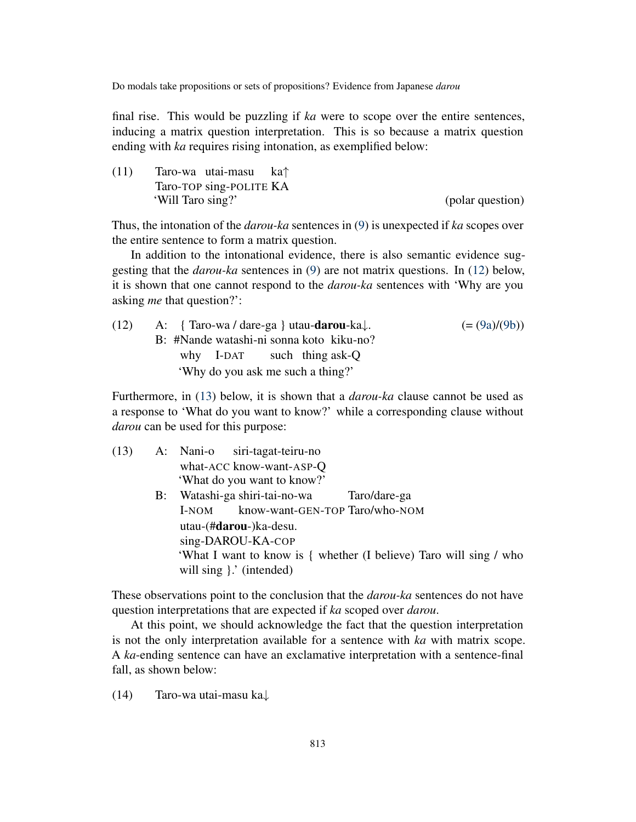final rise. This would be puzzling if *ka* were to scope over the entire sentences, inducing a matrix question interpretation. This is so because a matrix question ending with *ka* requires rising intonation, as exemplified below:

(11) Taro-wa utai-masu Taro-TOP sing-POLITE KA ka*↑* 'Will Taro sing?' (polar question)

Thus, the intonation of the *darou-ka* sentences in [\(9](#page-4-1)) is unexpected if *ka* scopes over the entire sentence to form a matrix question.

In addition to the intonational evidence, there is also semantic evidence suggesting that the *darou-ka* sentences in ([9\)](#page-4-1) are not matrix questions. In ([12\)](#page-5-0) below, it is shown that one cannot respond to the *darou-ka* sentences with 'Why are you asking *me* that question?':

<span id="page-5-0"></span>

| (12) | A: { Taro-wa / dare-ga } utau- <b>darou</b> -ka $\downarrow$ . | $(=(9a)/(9b))$ |  |
|------|----------------------------------------------------------------|----------------|--|
|      | B: #Nande watashi-ni sonna koto kiku-no?                       |                |  |
|      | why $I$ -DAT such thing ask-Q                                  |                |  |
|      | 'Why do you ask me such a thing?'                              |                |  |

Furthermore, in [\(13](#page-5-1)) below, it is shown that a *darou-ka* clause cannot be used as a response to 'What do you want to know?' while a corresponding clause without *darou* can be used for this purpose:

<span id="page-5-1"></span>

| (13) | A: Nani-o siri-tagat-teiru-no                                      |
|------|--------------------------------------------------------------------|
|      | what-ACC know-want-ASP-Q                                           |
|      | 'What do you want to know?'                                        |
|      | B: Watashi-ga shiri-tai-no-wa Taro/dare-ga                         |
|      | know-want-GEN-TOP Taro/who-NOM<br>l-NOM                            |
|      | utau-(#darou-)ka-desu.                                             |
|      | sing-DAROU-KA-COP                                                  |
|      | 'What I want to know is { whether (I believe) Taro will sing / who |
|      | will sing : (intended)                                             |

These observations point to the conclusion that the *darou-ka* sentences do not have question interpretations that are expected if *ka* scoped over *darou*.

At this point, we should acknowledge the fact that the question interpretation is not the only interpretation available for a sentence with *ka* with matrix scope. A *ka*-ending sentence can have an exclamative interpretation with a sentence-final fall, as shown below:

<span id="page-5-2"></span>(14) Taro-wa utai-masu ka*↓*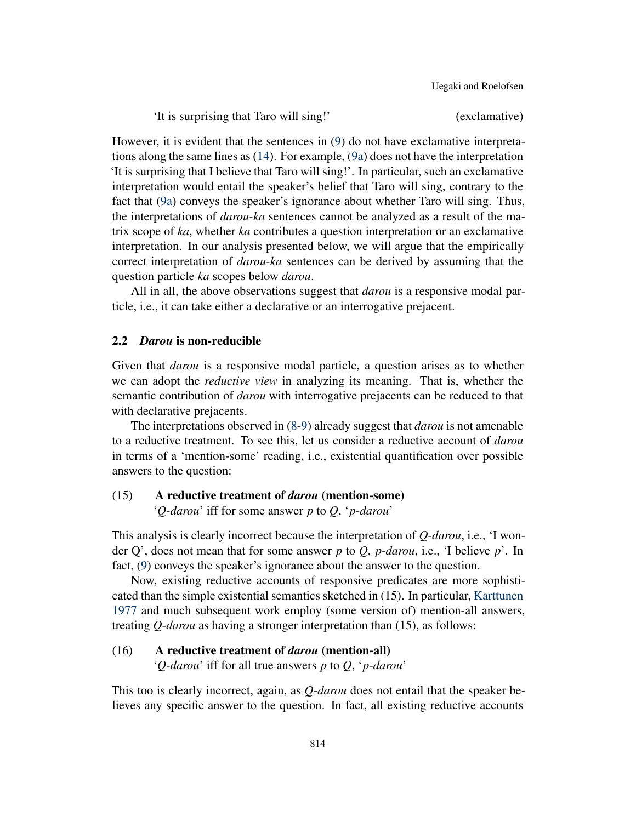'It is surprising that Taro will sing!' (exclamative)

However, it is evident that the sentences in [\(9](#page-4-1)) do not have exclamative interpretations along the same lines as ([14\)](#page-5-2). For example, ([9a\)](#page-4-2) does not have the interpretation 'It is surprising that I believe that Taro will sing!'. In particular, such an exclamative interpretation would entail the speaker's belief that Taro will sing, contrary to the fact that ([9a\)](#page-4-2) conveys the speaker's ignorance about whether Taro will sing. Thus, the interpretations of *darou-ka* sentences cannot be analyzed as a result of the matrix scope of *ka*, whether *ka* contributes a question interpretation or an exclamative interpretation. In our analysis presented below, we will argue that the empirically correct interpretation of *darou-ka* sentences can be derived by assuming that the question particle *ka* scopes below *darou*.

All in all, the above observations suggest that *darou* is a responsive modal particle, i.e., it can take either a declarative or an interrogative prejacent.

### 2.2 *Darou* is non-reducible

Given that *darou* is a responsive modal particle, a question arises as to whether we can adopt the *reductive view* in analyzing its meaning. That is, whether the semantic contribution of *darou* with interrogative prejacents can be reduced to that with declarative prejacents.

The interpretations observed in [\(8](#page-4-0)[-9](#page-4-1)) already suggest that *darou* is not amenable to a reductive treatment. To see this, let us consider a reductive account of *darou* in terms of a 'mention-some' reading, i.e., existential quantification over possible answers to the question:

# (15) A reductive treatment of *darou* (mention-some)

'*Q*-*darou*' iff for some answer *p* to *Q*, '*p*-*darou*'

This analysis is clearly incorrect because the interpretation of *Q*-*darou*, i.e., 'I wonder Q', does not mean that for some answer *p* to *Q*, *p*-*darou*, i.e., 'I believe *p*'. In fact, ([9\)](#page-4-1) conveys the speaker's ignorance about the answer to the question.

Now, existing reductive accounts of responsive predicates are more sophisticated than the simple existential semantics sketched in (15). In particular, [Karttunen](#page-20-0) [1977](#page-20-0) and much subsequent work employ (some version of) mention-all answers, treating *Q*-*darou* as having a stronger interpretation than (15), as follows:

# (16) A reductive treatment of *darou* (mention-all)

'*Q*-*darou*' iff for all true answers *p* to *Q*, '*p*-*darou*'

This too is clearly incorrect, again, as *Q*-*darou* does not entail that the speaker believes any specific answer to the question. In fact, all existing reductive accounts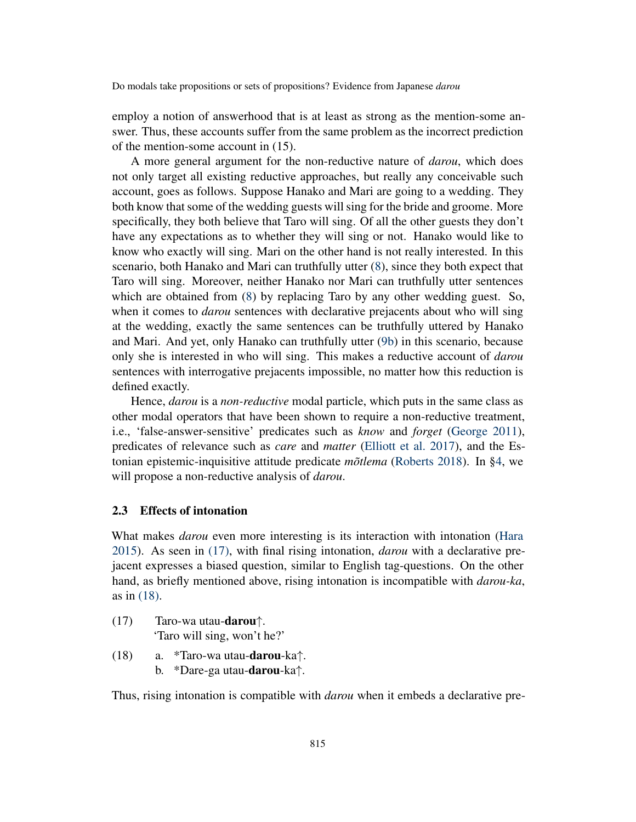employ a notion of answerhood that is at least as strong as the mention-some answer. Thus, these accounts suffer from the same problem as the incorrect prediction of the mention-some account in (15).

A more general argument for the non-reductive nature of *darou*, which does not only target all existing reductive approaches, but really any conceivable such account, goes as follows. Suppose Hanako and Mari are going to a wedding. They both know that some of the wedding guests will sing for the bride and groome. More specifically, they both believe that Taro will sing. Of all the other guests they don't have any expectations as to whether they will sing or not. Hanako would like to know who exactly will sing. Mari on the other hand is not really interested. In this scenario, both Hanako and Mari can truthfully utter [\(8](#page-4-0)), since they both expect that Taro will sing. Moreover, neither Hanako nor Mari can truthfully utter sentences which are obtained from ([8\)](#page-4-0) by replacing Taro by any other wedding guest. So, when it comes to *darou* sentences with declarative prejacents about who will sing at the wedding, exactly the same sentences can be truthfully uttered by Hanako and Mari. And yet, only Hanako can truthfully utter [\(9b](#page-4-3)) in this scenario, because only she is interested in who will sing. This makes a reductive account of *darou* sentences with interrogative prejacents impossible, no matter how this reduction is defined exactly.

Hence, *darou* is a *non-reductive* modal particle, which puts in the same class as other modal operators that have been shown to require a non-reductive treatment, i.e., 'false-answer-sensitive' predicates such as *know* and *forget* ([George](#page-19-6) [2011\)](#page-19-6), predicates of relevance such as *care* and *matter* [\(Elliott et al.](#page-19-8) [2017](#page-19-8)), and the Estonian epistemic-inquisitive attitude predicate *mõtlema* ([Roberts](#page-20-7) [2018](#page-20-7)). In [§4](#page-10-0), we will propose a non-reductive analysis of *darou*.

# 2.3 Effects of intonation

What makes *darou* even more interesting is its interaction with intonation ([Hara](#page-19-2) [2015\)](#page-19-2). As seen in [\(17\),](#page-7-0) with final rising intonation, *darou* with a declarative prejacent expresses a biased question, similar to English tag-questions. On the other hand, as briefly mentioned above, rising intonation is incompatible with *darou-ka*, as in [\(18\)](#page-7-1).

- <span id="page-7-0"></span>(17) Taro-wa utau-darou*↑*. 'Taro will sing, won't he?'
- <span id="page-7-2"></span><span id="page-7-1"></span>(18) a. \*Taro-wa utau-darou-ka*↑*.
	- b. \*Dare-ga utau-darou-ka*↑*.

Thus, rising intonation is compatible with *darou* when it embeds a declarative pre-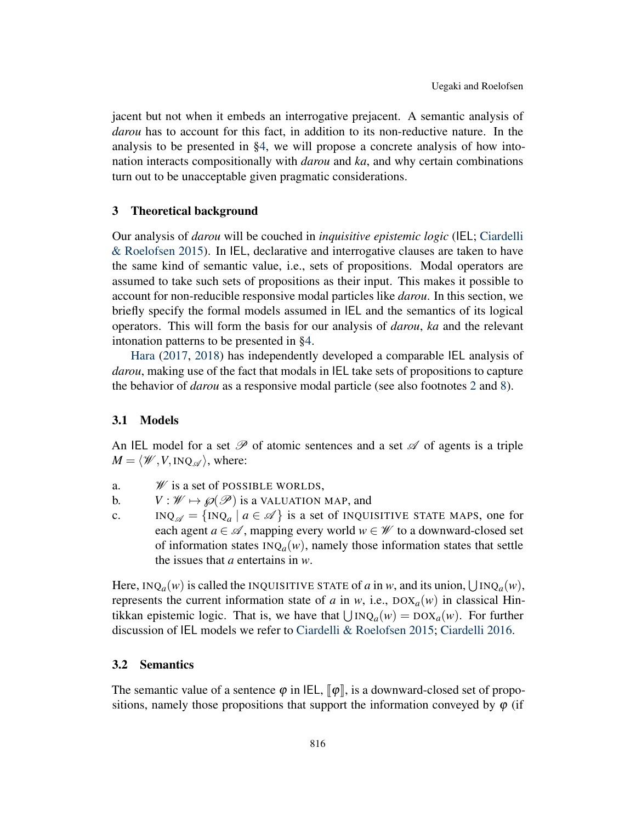jacent but not when it embeds an interrogative prejacent. A semantic analysis of *darou* has to account for this fact, in addition to its non-reductive nature. In the analysis to be presented in §[4,](#page-10-0) we will propose a concrete analysis of how intonation interacts compositionally with *darou* and *ka*, and why certain combinations turn out to be unacceptable given pragmatic considerations.

#### <span id="page-8-0"></span>3 Theoretical background

Our analysis of *darou* will be couched in *inquisitive epistemic logic* (IEL; [Ciardelli](#page-19-4) [& Roelofsen](#page-19-4) [2015](#page-19-4)). In IEL, declarative and interrogative clauses are taken to have the same kind of semantic value, i.e., sets of propositions. Modal operators are assumed to take such sets of propositions as their input. This makes it possible to account for non-reducible responsive modal particles like *darou*. In this section, we briefly specify the formal models assumed in IEL and the semantics of its logical operators. This will form the basis for our analysis of *darou*, *ka* and the relevant intonation patterns to be presented in §[4.](#page-10-0)

[Hara](#page-19-9) ([2017,](#page-19-9) [2018\)](#page-19-10) has independently developed a comparable IEL analysis of *darou*, making use of the fact that modals in IEL take sets of propositions to capture the behavior of *darou* as a responsive modal particle (see also footnotes [2](#page-3-3) and [8\)](#page-18-1).

#### 3.1 Models

An IEL model for a set  $\mathscr P$  of atomic sentences and a set  $\mathscr A$  of agents is a triple  $M = \langle W, V, \text{INQ}_{\mathscr{A}} \rangle$ , where:

- a. *W* is a set of POSSIBLE WORLDS,
- b.  $V : W \mapsto \mathcal{P}(\mathcal{P})$  is a VALUATION MAP, and
- c. INQ<sub> $\alpha$ </sub> =  $\{INQ_a \mid a \in \mathcal{A}\}\$ is a set of INQUISITIVE STATE MAPS, one for each agent  $a \in \mathcal{A}$ , mapping every world  $w \in \mathcal{W}$  to a downward-closed set of information states  $INQ_a(w)$ , namely those information states that settle the issues that *a* entertains in *w*.

Here,  $INQ_a(w)$  is called the INQUISITIVE STATE of *a* in *w*, and its union,  $\bigcup INQ_a(w)$ , represents the current information state of *a* in *w*, i.e.,  $DOX_a(w)$  in classical Hintikkan epistemic logic. That is, we have that  $∪ INQ<sub>a</sub>(w) = DOX<sub>a</sub>(w)$ . For further discussion of IEL models we refer to [Ciardelli & Roelofsen](#page-19-4) [2015](#page-19-4); [Ciardelli](#page-19-11) [2016](#page-19-11).

# 3.2 Semantics

The semantic value of a sentence  $\varphi$  in IEL,  $\lbrack \varphi \rbrack$ , is a downward-closed set of propositions, namely those propositions that support the information conveyed by  $\varphi$  (if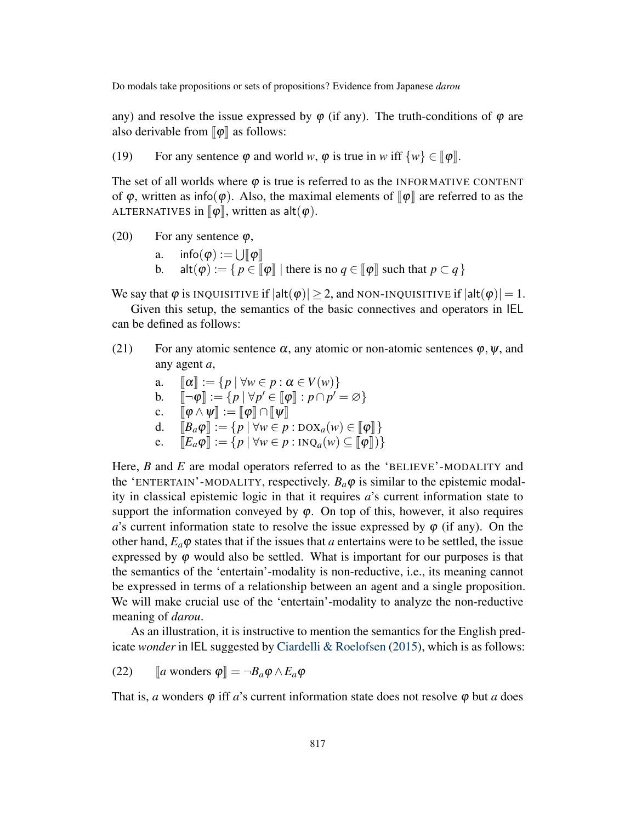any) and resolve the issue expressed by  $\varphi$  (if any). The truth-conditions of  $\varphi$  are also derivable from  $\llbracket \phi \rrbracket$  as follows:

(19) For any sentence  $\varphi$  and world *w*,  $\varphi$  is true in *w* iff  $\{w\} \in [\varphi]$ .

The set of all worlds where  $\varphi$  is true is referred to as the INFORMATIVE CONTENT of  $\varphi$ , written as info( $\varphi$ ). Also, the maximal elements of  $\llbracket \varphi \rrbracket$  are referred to as the ALTERNATIVES in  $\llbracket \varphi \rrbracket$ , written as  $alt(\varphi)$ .

(20) For any sentence  $\varphi$ ,

a. 
$$
info(\varphi) := \bigcup [\varphi]
$$

b. alt $(\varphi) := \{ p \in [\![\varphi]\!] \mid \text{there is no } q \in [\![\varphi]\!] \text{ such that } p \subset q \}$ 

We say that  $\varphi$  is INQUISITIVE if  $|alt(\varphi)| \geq 2$ , and NON-INQUISITIVE if  $|alt(\varphi)| = 1$ .

Given this setup, the semantics of the basic connectives and operators in IEL can be defined as follows:

- (21) For any atomic sentence  $\alpha$ , any atomic or non-atomic sentences  $\varphi$ ,  $\psi$ , and any agent *a*,
	- a.  $\llbracket \alpha \rrbracket := \{ p \mid \forall w \in p : \alpha \in V(w) \}$ b.  $\llbracket \neg \varphi \rrbracket := \{ p \mid \forall p' \in \llbracket \varphi \rrbracket : p \cap p' = \varnothing \}$ c.  $\|\phi \wedge \psi\| := \|\phi\| \cap \|\psi\|$ d.  $\llbracket B_a \varphi \rrbracket := \{ p \mid \forall w \in p : \text{box}_a(w) \in \llbracket \varphi \rrbracket \}$ e.  $\mathbb{E}_a \varphi \mathbb{I} := \{ p \mid \forall w \in p : \text{INQ}_a(w) \subseteq \mathbb{I} \varphi \mathbb{I} \}$

Here, *B* and *E* are modal operators referred to as the 'BELIEVE'-MODALITY and the 'ENTERTAIN'-MODALITY, respectively.  $B_a \varphi$  is similar to the epistemic modality in classical epistemic logic in that it requires *a*'s current information state to support the information conveyed by  $\varphi$ . On top of this, however, it also requires *a*'s current information state to resolve the issue expressed by  $\varphi$  (if any). On the other hand,  $E_a \varphi$  states that if the issues that *a* entertains were to be settled, the issue expressed by  $\varphi$  would also be settled. What is important for our purposes is that the semantics of the 'entertain'-modality is non-reductive, i.e., its meaning cannot be expressed in terms of a relationship between an agent and a single proposition. We will make crucial use of the 'entertain'-modality to analyze the non-reductive meaning of *darou*.

As an illustration, it is instructive to mention the semantics for the English predicate *wonder* in IEL suggested by [Ciardelli & Roelofsen](#page-19-4) [\(2015](#page-19-4)), which is as follows:

<span id="page-9-0"></span>(22) 
$$
[a \text{ wonders } \varphi] = \neg B_a \varphi \wedge E_a \varphi
$$

That is, *a* wonders  $\varphi$  iff *a*'s current information state does not resolve  $\varphi$  but *a* does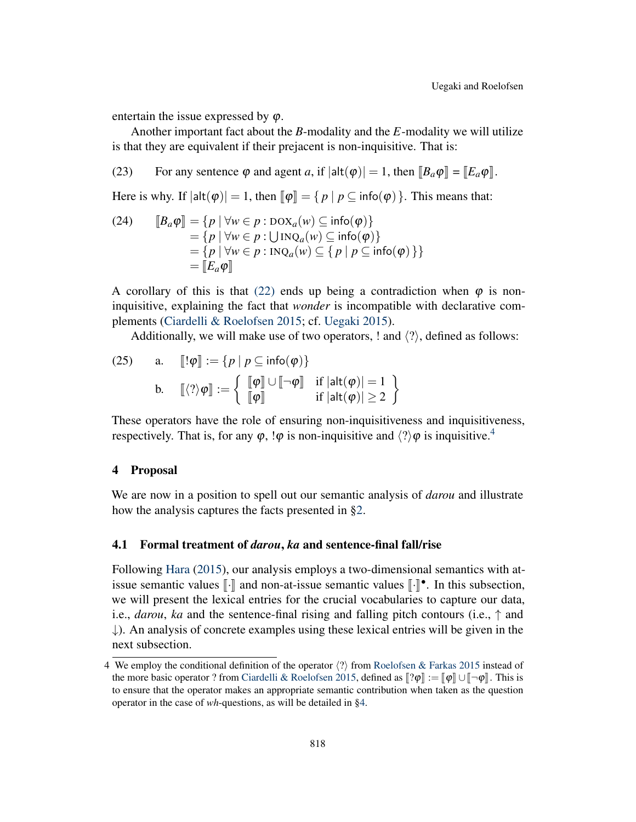entertain the issue expressed by  $\varphi$ .

Another important fact about the *B*-modality and the *E*-modality we will utilize is that they are equivalent if their prejacent is non-inquisitive. That is:

(23) For any sentence  $\varphi$  and agent *a*, if  $|\text{alt}(\varphi)| = 1$ , then  $[[B_a \varphi]] = [[E_a \varphi]]$ .

Here is why. If  $|\text{alt}(\varphi)| = 1$ , then  $\lbrack \lbrack \varphi \rbrack = \{ p \mid p \subset \text{info}(\varphi) \}$ . This means that:

(24) 
$$
\begin{aligned} [\mathbf{B}_a \boldsymbol{\varphi}] &= \{ p \mid \forall w \in p : \text{DOX}_a(w) \subseteq \text{info}(\boldsymbol{\varphi}) \} \\ &= \{ p \mid \forall w \in p : \text{UINQ}_a(w) \subseteq \text{info}(\boldsymbol{\varphi}) \} \\ &= \{ p \mid \forall w \in p : \text{INQ}_a(w) \subseteq \{ p \mid p \subseteq \text{info}(\boldsymbol{\varphi}) \} \} \\ &= [\mathbf{E}_a \boldsymbol{\varphi}] \end{aligned}
$$

A corollary of this is that [\(22\)](#page-9-0) ends up being a contradiction when  $\varphi$  is noninquisitive, explaining the fact that *wonder* is incompatible with declarative complements [\(Ciardelli & Roelofsen](#page-19-4) [2015;](#page-19-4) cf. [Uegaki](#page-20-3) [2015](#page-20-3)).

Additionally, we will make use of two operators, ! and *⟨*?*⟩*, defined as follows:

(25) a. 
$$
[\![!\,\varphi]\!] := \{p \mid p \subseteq \text{info}(\varphi)\}\
$$
  
b.  $[\![\langle?\rangle \varphi]\!] := \left\{ \begin{array}{ll} [\![\varphi]\!] \cup [\![\neg \varphi]\!] & \text{if } |\text{alt}(\varphi)| = 1 \\ [\![\varphi]\!] & \text{if } |\text{alt}(\varphi)| \ge 2 \end{array} \right\}$ 

These operators have the role of ensuring non-inquisitiveness and inquisitiveness, respectively. That is, for any  $\varphi$ ,  $\varphi$  is non-inquisitive and  $\langle \varphi \rangle$  is inquisitive.<sup>[4](#page-10-1)</sup>

# <span id="page-10-0"></span>4 Proposal

We are now in a position to spell out our semantic analysis of *darou* and illustrate how the analysis captures the facts presented in [§2](#page-3-4).

#### 4.1 Formal treatment of *darou*, *ka* and sentence-final fall/rise

Following [Hara](#page-19-2) ([2015\)](#page-19-2), our analysis employs a two-dimensional semantics with atissue semantic values  $\llbracket \cdot \rrbracket$  and non-at-issue semantic values  $\llbracket \cdot \rrbracket^*$ . In this subsection, we will present the lexical entries for the crucial vocabularies to capture our data, i.e., *darou*, *ka* and the sentence-final rising and falling pitch contours (i.e., *↑* and *↓*). An analysis of concrete examples using these lexical entries will be given in the next subsection.

<span id="page-10-1"></span><sup>4</sup> We employ the conditional definition of the operator *⟨*?*⟩* from [Roelofsen & Farkas](#page-20-11) [2015](#page-20-11) instead of the more basic operator ? from [Ciardelli & Roelofsen](#page-19-4) [2015,](#page-19-4) defined as  $\llbracket ?\varphi \rrbracket := \llbracket \varphi \rrbracket \cup \llbracket \neg \varphi \rrbracket$ . This is to ensure that the operator makes an appropriate semantic contribution when taken as the question operator in the case of *wh*-questions, as will be detailed in §[4](#page-10-0).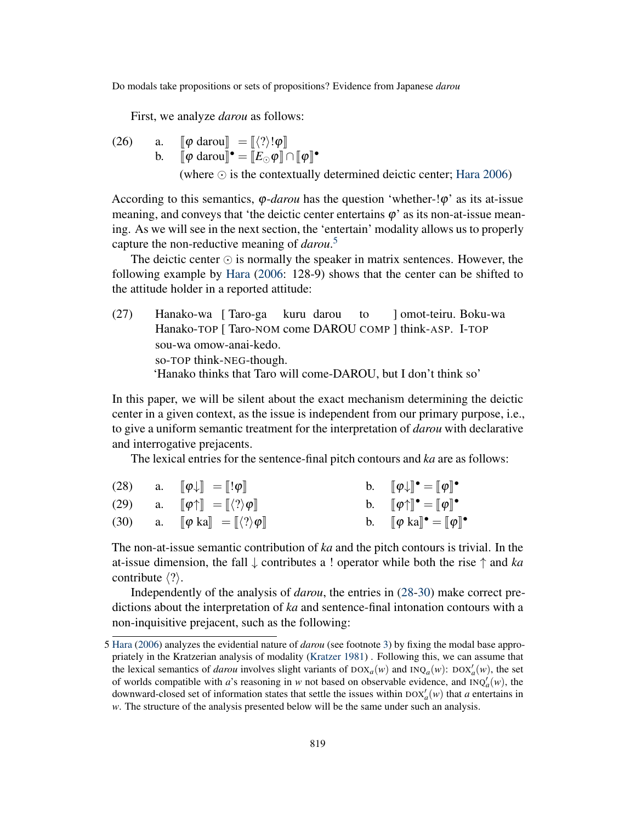First, we analyze *darou* as follows:

(26) a.  $\llbracket \varphi \text{ darou} \rrbracket = \llbracket \langle ? \rangle! \varphi \rrbracket$ b.  $[\![\varphi \text{ darou}]\!]^\bullet = [\![E_{\odot} \varphi]\!] \cap [\![\varphi]\!]^\bullet$ (where *⊙* is the contextually determined deictic center; [Hara](#page-19-0) [2006](#page-19-0))

According to this semantics, φ-*darou* has the question 'whether-!φ' as its at-issue meaning, and conveys that 'the deictic center entertains  $\varphi$ ' as its non-at-issue meaning. As we will see in the next section, the 'entertain' modality allows us to properly capture the non-reductive meaning of *darou*. [5](#page-11-0)

The deictic center *⊙* is normally the speaker in matrix sentences. However, the following example by [Hara](#page-19-0) ([2006:](#page-19-0) 128-9) shows that the center can be shifted to the attitude holder in a reported attitude:

(27) Hanako-wa [ Taro-ga Hanako-TOP [ Taro-NOM come DAROU COMP ] think-ASP. I-TOP kuru darou to ] omot-teiru. Boku-wa sou-wa omow-anai-kedo. so-TOP think-NEG-though. 'Hanako thinks that Taro will come-DAROU, but I don't think so'

In this paper, we will be silent about the exact mechanism determining the deictic center in a given context, as the issue is independent from our primary purpose, i.e., to give a uniform semantic treatment for the interpretation of *darou* with declarative and interrogative prejacents.

The lexical entries for the sentence-final pitch contours and *ka* are as follows:

<span id="page-11-1"></span>

|  | (28) a. $\ \phi\  = \ \phi\ $                                                                  | b. $\llbracket \phi \downarrow \rrbracket^{\bullet} = \llbracket \phi \rrbracket^{\bullet}$ |
|--|------------------------------------------------------------------------------------------------|---------------------------------------------------------------------------------------------|
|  | (29) a. $\llbracket \phi \uparrow \rrbracket = \llbracket \langle ? \rangle \phi \rrbracket$   | b. $[\![\varphi\uparrow]\!]^\bullet = [\![\varphi]\!]^\bullet$                              |
|  | (30) a. $\llbracket \phi \text{ ka} \rrbracket = \llbracket \langle ? \rangle \phi \rrbracket$ | b. $[\![\varphi \text{ ka}]\!]^\bullet = [\![\varphi]\!]^\bullet$                           |

<span id="page-11-2"></span>The non-at-issue semantic contribution of *ka* and the pitch contours is trivial. In the at-issue dimension, the fall *↓* contributes a ! operator while both the rise *↑* and *ka* contribute *⟨*?*⟩*.

Independently of the analysis of *darou*, the entries in [\(28](#page-11-1)[-30](#page-11-2)) make correct predictions about the interpretation of *ka* and sentence-final intonation contours with a non-inquisitive prejacent, such as the following:

<span id="page-11-0"></span><sup>5</sup> [Hara](#page-19-0) [\(2006\)](#page-19-0) analyzes the evidential nature of *darou* (see footnote [3](#page-4-4)) by fixing the modal base appropriately in the Kratzerian analysis of modality [\(Kratzer](#page-20-12) [1981\)](#page-20-12) . Following this, we can assume that the lexical semantics of *darou* involves slight variants of  $DOX_a(w)$  and  $INQ_a(w)$ :  $DOX'_a(w)$ , the set of worlds compatible with *a*'s reasoning in *w* not based on observable evidence, and  $INQ'_a(w)$ , the downward-closed set of information states that settle the issues within  $DOX'_a(w)$  that *a* entertains in *w*. The structure of the analysis presented below will be the same under such an analysis.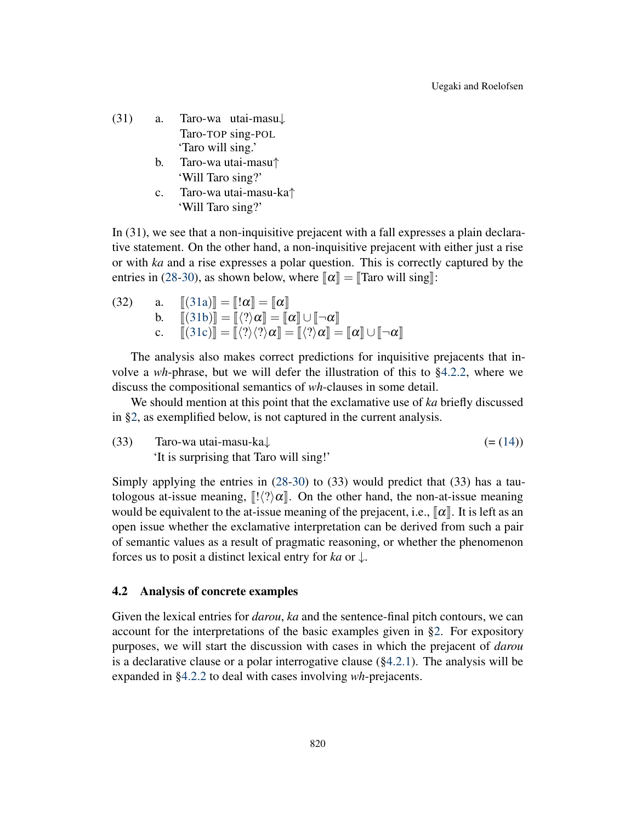- <span id="page-12-1"></span><span id="page-12-0"></span>(31) a. Taro-wa utai-masu*↓* Taro-TOP sing-POL 'Taro will sing.'
	- b. Taro-wa utai-masu*↑* 'Will Taro sing?'
	- c. Taro-wa utai-masu-ka*↑* 'Will Taro sing?'

<span id="page-12-2"></span>In (31), we see that a non-inquisitive prejacent with a fall expresses a plain declarative statement. On the other hand, a non-inquisitive prejacent with either just a rise or with *ka* and a rise expresses a polar question. This is correctly captured by the entries in [\(28](#page-11-1)[-30](#page-11-2)), as shown below, where  $\llbracket \alpha \rrbracket = \llbracket$ Taro will sing $\rrbracket$ :

(32) a. <sup>J</sup>([31a](#page-12-0))<sup>K</sup> <sup>=</sup> <sup>J</sup>!<sup>α</sup><sup>K</sup> <sup>=</sup> <sup>J</sup><sup>α</sup><sup>K</sup> b. <sup>J</sup>([31b](#page-12-1))<sup>K</sup> <sup>=</sup> <sup>J</sup>*⟨*?*⟩*<sup>α</sup><sup>K</sup> <sup>=</sup> <sup>J</sup><sup>α</sup>K*∪*J*¬*<sup>α</sup><sup>K</sup> c. <sup>J</sup>([31c](#page-12-2))<sup>K</sup> <sup>=</sup> <sup>J</sup>*⟨*?*⟩⟨*?*⟩*<sup>α</sup><sup>K</sup> <sup>=</sup> <sup>J</sup>*⟨*?*⟩*<sup>α</sup><sup>K</sup> <sup>=</sup> <sup>J</sup><sup>α</sup>K*∪*J*¬*<sup>α</sup><sup>K</sup>

The analysis also makes correct predictions for inquisitive prejacents that involve a *wh*-phrase, but we will defer the illustration of this to §[4.2.2,](#page-16-0) where we discuss the compositional semantics of *wh*-clauses in some detail.

We should mention at this point that the exclamative use of *ka* briefly discussed in [§2](#page-3-4), as exemplified below, is not captured in the current analysis.

(33) Taro-wa utai-masu-ka*↓* (= [\(14](#page-5-2))) 'It is surprising that Taro will sing!'

Simply applying the entries in  $(28-30)$  $(28-30)$  $(28-30)$  to  $(33)$  would predict that  $(33)$  has a tautologous at-issue meaning,  $\left[\frac{1}{2}\alpha\right]$ . On the other hand, the non-at-issue meaning would be equivalent to the at-issue meaning of the prejacent, i.e.,  $\llbracket \alpha \rrbracket$ . It is left as an open issue whether the exclamative interpretation can be derived from such a pair of semantic values as a result of pragmatic reasoning, or whether the phenomenon forces us to posit a distinct lexical entry for *ka* or *↓*.

#### 4.2 Analysis of concrete examples

Given the lexical entries for *darou*, *ka* and the sentence-final pitch contours, we can account for the interpretations of the basic examples given in [§2](#page-3-4). For expository purposes, we will start the discussion with cases in which the prejacent of *darou* is a declarative clause or a polar interrogative clause ([§4.2.1](#page-13-0)). The analysis will be expanded in §[4.2.2](#page-16-0) to deal with cases involving *wh*-prejacents.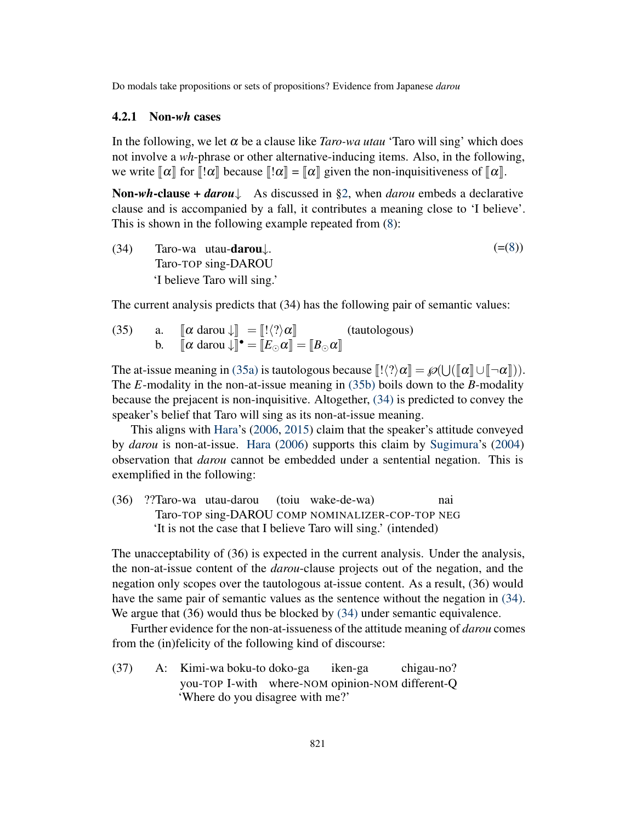# <span id="page-13-0"></span>4.2.1 Non-*wh* cases

In the following, we let  $\alpha$  be a clause like *Taro-wa utau* 'Taro will sing' which does not involve a *wh*-phrase or other alternative-inducing items. Also, in the following, we write  $\llbracket \alpha \rrbracket$  for  $\llbracket !\alpha \rrbracket$  because  $\llbracket !\alpha \rrbracket = \llbracket \alpha \rrbracket$  given the non-inquisitiveness of  $\llbracket \alpha \rrbracket$ .

Non-*wh*-clause + *darou↓* As discussed in [§2](#page-3-4), when *darou* embeds a declarative clause and is accompanied by a fall, it contributes a meaning close to 'I believe'. This is shown in the following example repeated from ([8\)](#page-4-0):

<span id="page-13-3"></span>(34) Taro-wa utau-darou*↓*. Taro-TOP sing-DAROU 'I believe Taro will sing.'  $(=(8))$  $(=(8))$  $(=(8))$ 

The current analysis predicts that (34) has the following pair of semantic values:

<span id="page-13-2"></span><span id="page-13-1"></span>(35) a.  $\llbracket \alpha \text{ darou } \downarrow \rrbracket = \llbracket ! \langle ? \rangle \alpha \rrbracket$  (tautologous) b.  $[\![\alpha \text{ darou } \downarrow]\!] \bullet = [\![E_{\odot} \alpha]\!] = [\![B_{\odot} \alpha]\!]$ 

The at-issue meaning in [\(35a\)](#page-13-1) is tautologous because  $[[\langle ? \rangle \alpha] = \mathcal{P}(\bigcup (\llbracket \alpha \rrbracket \cup \llbracket \neg \alpha \rrbracket))$ . The *E*-modality in the non-at-issue meaning in [\(35b\)](#page-13-2) boils down to the *B*-modality because the prejacent is non-inquisitive. Altogether, [\(34\)](#page-13-3) is predicted to convey the speaker's belief that Taro will sing as its non-at-issue meaning.

This aligns with [Hara](#page-19-0)'s [\(2006](#page-19-0), [2015\)](#page-19-2) claim that the speaker's attitude conveyed by *darou* is non-at-issue. [Hara](#page-19-0) ([2006\)](#page-19-0) supports this claim by [Sugimura'](#page-20-10)s ([2004\)](#page-20-10) observation that *darou* cannot be embedded under a sentential negation. This is exemplified in the following:

(36) ??Taro-wa utau-darou Taro-TOP sing-DAROU COMP NOMINALIZER-COP-TOP NEG (toiu wake-de-wa) nai 'It is not the case that I believe Taro will sing.' (intended)

The unacceptability of (36) is expected in the current analysis. Under the analysis, the non-at-issue content of the *darou*-clause projects out of the negation, and the negation only scopes over the tautologous at-issue content. As a result, (36) would have the same pair of semantic values as the sentence without the negation in [\(34\)](#page-13-3). We argue that (36) would thus be blocked by [\(34\)](#page-13-3) under semantic equivalence.

Further evidence for the non-at-issueness of the attitude meaning of *darou* comes from the (in)felicity of the following kind of discourse:

<span id="page-13-4"></span>(37) A: Kimi-wa boku-to doko-ga you-TOP I-with where-NOM opinion-NOM different-Q iken-ga chigau-no? 'Where do you disagree with me?'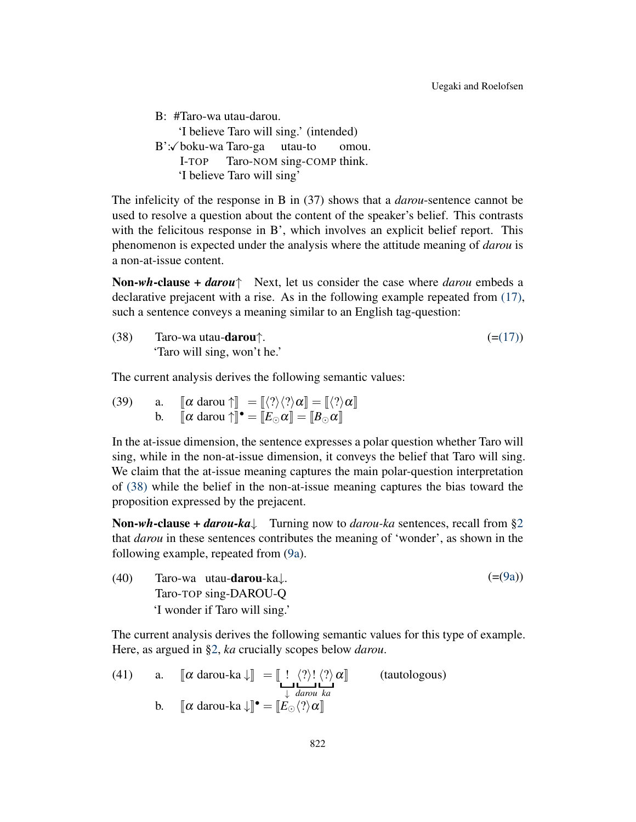B: #Taro-wa utau-darou. 'I believe Taro will sing.' (intended) B':✓boku-wa Taro-ga utau-to I-TOP Taro-NOM sing-COMP think. omou. 'I believe Taro will sing'

The infelicity of the response in B in (37) shows that a *darou*-sentence cannot be used to resolve a question about the content of the speaker's belief. This contrasts with the felicitous response in B', which involves an explicit belief report. This phenomenon is expected under the analysis where the attitude meaning of *darou* is a non-at-issue content.

<span id="page-14-0"></span>Non-*wh*-clause + *darou↑* Next, let us consider the case where *darou* embeds a declarative prejacent with a rise. As in the following example repeated from [\(17\),](#page-7-0) such a sentence conveys a meaning similar to an English tag-question:

(38) Taro-wa utau-**darou** 
$$
\uparrow
$$
.  
'Taro will sing, won't he.'

The current analysis derives the following semantic values:

(39) a. 
$$
\llbracket \alpha \text{ darou } \uparrow \rrbracket = \llbracket \langle ? \rangle \langle ? \rangle \alpha \rrbracket = \llbracket \langle ? \rangle \alpha \rrbracket
$$
  
b.  $\llbracket \alpha \text{ darou } \uparrow \rrbracket \bullet = \llbracket E_{\odot} \alpha \rrbracket = \llbracket B_{\odot} \alpha \rrbracket$ 

In the at-issue dimension, the sentence expresses a polar question whether Taro will sing, while in the non-at-issue dimension, it conveys the belief that Taro will sing. We claim that the at-issue meaning captures the main polar-question interpretation of [\(38\)](#page-14-0) while the belief in the non-at-issue meaning captures the bias toward the proposition expressed by the prejacent.

<span id="page-14-2"></span>Non-*wh*-clause + *darou-ka↓* Turning now to *darou-ka* sentences, recall from [§2](#page-3-4) that *darou* in these sentences contributes the meaning of 'wonder', as shown in the following example, repeated from [\(9a](#page-4-2)).

(40) Taro-wa utau-darou-ka*↓*. Taro-TOP sing-DAROU-Q 'I wonder if Taro will sing.'  $(=(9a))$  $(=(9a))$  $(=(9a))$ 

The current analysis derives the following semantic values for this type of example. Here, as argued in §[2,](#page-3-4) *ka* crucially scopes below *darou*.

<span id="page-14-1"></span>(41) a. 
$$
\[\[\alpha \text{ darou-ka} \downarrow\] = \left[\frac{!}{\mu} \cdot \frac{\langle ? \rangle!}{\langle ? \rangle!} \cdot \frac{\langle ? \rangle}{\langle ? \rangle!} \alpha \right]
$$
 (tautologous)  
b.  $\[\[\alpha \text{ darou-ka} \downarrow\] \bullet = \left[\frac{E_{\odot} \langle ? \rangle \alpha}{\langle ? \rangle!} \alpha \right]$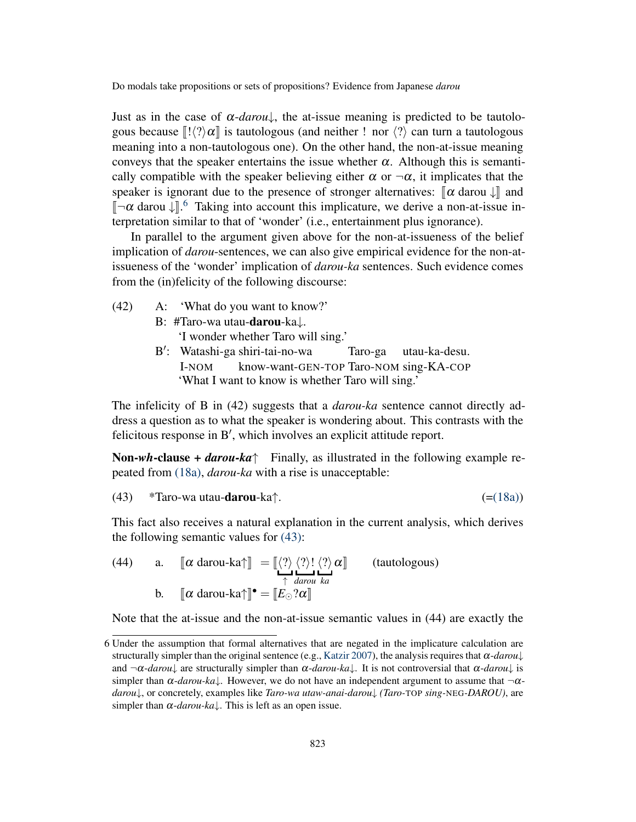Just as in the case of  $\alpha$ -*darou*<sup> $\downarrow$ </sup>, the at-issue meaning is predicted to be tautologous because  $\llbracket \cdot \vert \cdot \rangle \alpha \rrbracket$  is tautologous (and neither ! nor  $\langle \cdot \rangle$ ) can turn a tautologous meaning into a non-tautologous one). On the other hand, the non-at-issue meaning conveys that the speaker entertains the issue whether  $\alpha$ . Although this is semantically compatible with the speaker believing either  $\alpha$  or  $\neg \alpha$ , it implicates that the speaker is ignorant due to the presence of stronger alternatives:  $\llbracket \alpha \rangle$  darou  $\downarrow \llbracket$  and <sup>J</sup>*¬*<sup>α</sup> darou *<sup>↓</sup>*K. [6](#page-15-0) Taking into account this implicature, we derive a non-at-issue interpretation similar to that of 'wonder' (i.e., entertainment plus ignorance).

In parallel to the argument given above for the non-at-issueness of the belief implication of *darou*-sentences, we can also give empirical evidence for the non-atissueness of the 'wonder' implication of *darou-ka* sentences. Such evidence comes from the (in)felicity of the following discourse:

(42) A: 'What do you want to know?' B: #Taro-wa utau-darou-ka*↓*.

'I wonder whether Taro will sing.'

B *′* : Watashi-ga shiri-tai-no-wa I-NOM know-want-GEN-TOP Taro-NOM sing-KA-COP Taro-ga utau-ka-desu. 'What I want to know is whether Taro will sing.'

The infelicity of B in (42) suggests that a *darou-ka* sentence cannot directly address a question as to what the speaker is wondering about. This contrasts with the felicitous response in B*′* , which involves an explicit attitude report.

Non-*wh*-clause + *darou-ka↑* Finally, as illustrated in the following example repeated from [\(18a\),](#page-7-2) *darou-ka* with a rise is unacceptable:

<span id="page-15-1"></span>(43) \*Taro-wa utau-darou-ka
$$
\uparrow
$$
.  $(=(18a))$ 

This fact also receives a natural explanation in the current analysis, which derives the following semantic values for [\(43\)](#page-15-1):

(44) a. 
$$
\[\[\alpha \text{ darou-ka}\] = \left[\frac{\langle ? \rangle \langle ? \rangle! \langle ? \rangle \alpha \right]
$$
 (tautologous)  
b.  $\[\[\alpha \text{ darou-ka}\]^\bullet = \left[\left.E_\odot ? \alpha\right]\right]$ 

Note that the at-issue and the non-at-issue semantic values in (44) are exactly the

<span id="page-15-0"></span><sup>6</sup> Under the assumption that formal alternatives that are negated in the implicature calculation are structurally simpler than the original sentence (e.g., [Katzir](#page-20-13) [2007](#page-20-13)), the analysis requires that  $\alpha$ -*darou*<sup>†</sup> and  $\neg \alpha$ -*darou*<sup> $\downarrow$ </sup> are structurally simpler than  $\alpha$ -*darou-ka* $\downarrow$ . It is not controversial that  $\alpha$ -*darou* $\downarrow$  is simpler than  $\alpha$ -*darou-ka*<sup> $\downarrow$ </sup>. However, we do not have an independent argument to assume that  $\neg \alpha$ *darou↓*, or concretely, examples like *Taro-wa utaw-anai-darou↓ (Taro-*TOP *sing-*NEG*-DAROU)*, are simpler than  $\alpha$ -*darou-ka* $\downarrow$ . This is left as an open issue.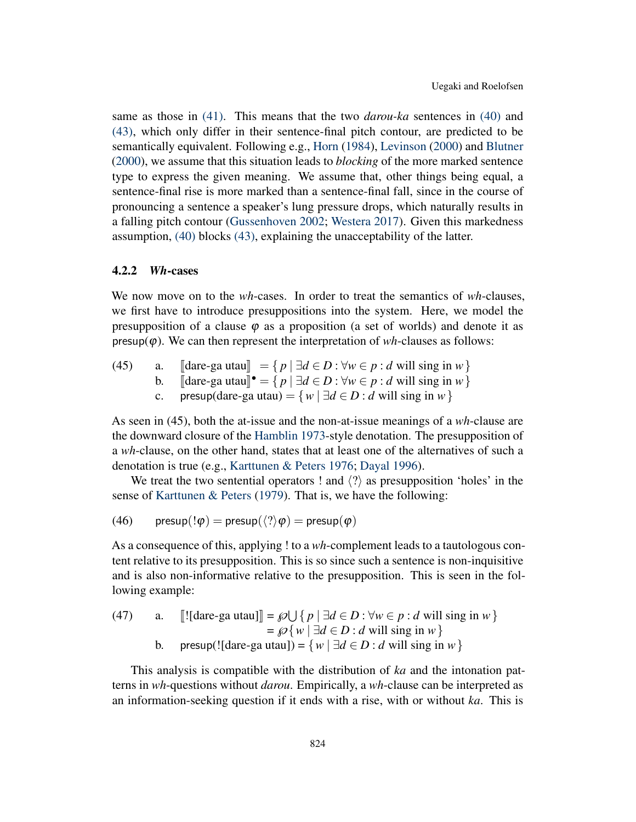same as those in [\(41\).](#page-14-1) This means that the two *darou-ka* sentences in [\(40\)](#page-14-2) and [\(43\),](#page-15-1) which only differ in their sentence-final pitch contour, are predicted to be semantically equivalent. Following e.g., [Horn](#page-20-14) ([1984\)](#page-20-14), [Levinson](#page-20-15) [\(2000](#page-20-15)) and [Blutner](#page-19-12) ([2000](#page-19-12)), we assume that this situation leads to *blocking* of the more marked sentence type to express the given meaning. We assume that, other things being equal, a sentence-final rise is more marked than a sentence-final fall, since in the course of pronouncing a sentence a speaker's lung pressure drops, which naturally results in a falling pitch contour [\(Gussenhoven](#page-19-13) [2002;](#page-19-13) [Westera](#page-21-0) [2017](#page-21-0)). Given this markedness assumption, [\(40\)](#page-14-2) blocks [\(43\)](#page-15-1), explaining the unacceptability of the latter.

# <span id="page-16-0"></span>4.2.2 *Wh*-cases

We now move on to the *wh*-cases. In order to treat the semantics of *wh*-clauses, we first have to introduce presuppositions into the system. Here, we model the presupposition of a clause  $\varphi$  as a proposition (a set of worlds) and denote it as  $presup(\varphi)$ . We can then represent the interpretation of *wh*-clauses as follows:

- (45) a.  $\left[\text{dare-ga utau}\right] = \{ p \mid \exists d \in D : \forall w \in p : d \text{ will } \text{sing in } w \}$ <br>b.  $\left[\text{dare-ga utau}\right]^\bullet = \{ p \mid \exists d \in D : \forall w \in p : d \text{ will } \text{sing in } w \}$ 
	- **b.**  $[\text{dare-ga utau}]^{\bullet} = \{ p | \exists d \in D : \forall w \in p : d \text{ will sing in } w \}$
	- c. presup(dare-ga utau) =  $\{w \mid \exists d \in D : d \text{ will sing in } w\}$

As seen in (45), both the at-issue and the non-at-issue meanings of a *wh*-clause are the downward closure of the [Hamblin](#page-19-14) [1973](#page-19-14)-style denotation. The presupposition of a *wh*-clause, on the other hand, states that at least one of the alternatives of such a denotation is true (e.g., [Karttunen & Peters](#page-20-16) [1976](#page-20-16); [Dayal](#page-19-15) [1996](#page-19-15)).

We treat the two sentential operators ! and *⟨*?*⟩* as presupposition 'holes' in the sense of [Karttunen & Peters](#page-20-17) [\(1979](#page-20-17)). That is, we have the following:

(46) 
$$
\mathsf{presup}(!\varphi) = \mathsf{presup}(\langle ? \rangle \varphi) = \mathsf{presup}(\varphi)
$$

As a consequence of this, applying ! to a *wh*-complement leads to a tautologous content relative to its presupposition. This is so since such a sentence is non-inquisitive and is also non-informative relative to the presupposition. This is seen in the following example:

(47) a. 
$$
[[\text{later-ga utau}]] = \mathcal{P} \cup \{ p \mid \exists d \in D : \forall w \in p : d \text{ will sing in } w \} = \mathcal{P} \{ w \mid \exists d \in D : d \text{ will sing in } w \}
$$
  
b. presup([\text{later-ga utau}]) = 
$$
\{ w \mid \exists d \in D : d \text{ will sing in } w \}
$$

This analysis is compatible with the distribution of *ka* and the intonation patterns in *wh*-questions without *darou*. Empirically, a *wh*-clause can be interpreted as an information-seeking question if it ends with a rise, with or without *ka*. This is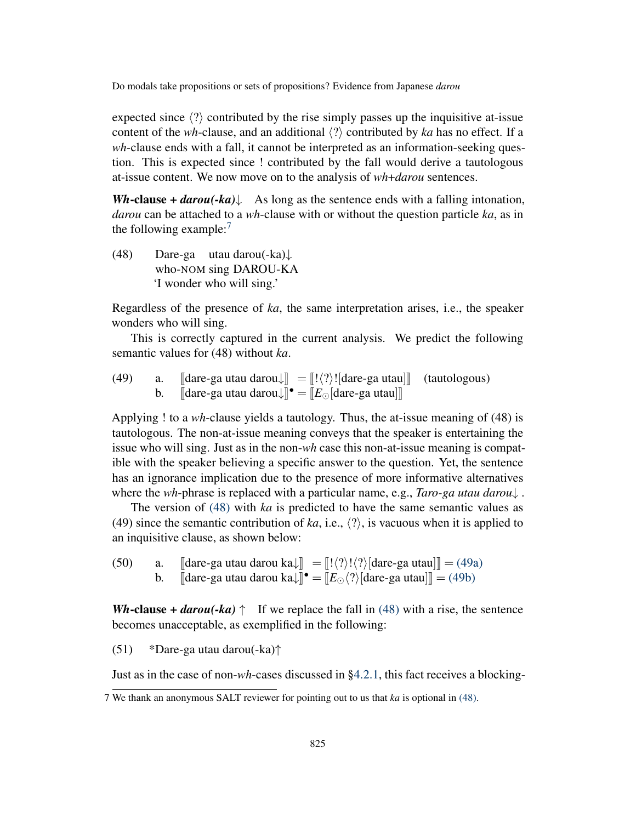expected since *⟨*?*⟩* contributed by the rise simply passes up the inquisitive at-issue content of the *wh*-clause, and an additional *⟨*?*⟩* contributed by *ka* has no effect. If a *wh*-clause ends with a fall, it cannot be interpreted as an information-seeking question. This is expected since ! contributed by the fall would derive a tautologous at-issue content. We now move on to the analysis of *wh*+*darou* sentences.

<span id="page-17-1"></span>*Wh*-clause + *darou*(-*ka*)↓ As long as the sentence ends with a falling intonation, *darou* can be attached to a *wh*-clause with or without the question particle *ka*, as in the following example: $<sup>7</sup>$  $<sup>7</sup>$  $<sup>7</sup>$ </sup>

(48) Dare-ga utau darou(-ka)*↓* who-NOM sing DAROU-KA 'I wonder who will sing.'

Regardless of the presence of *ka*, the same interpretation arises, i.e., the speaker wonders who will sing.

This is correctly captured in the current analysis. We predict the following semantic values for (48) without *ka*.

<span id="page-17-4"></span><span id="page-17-3"></span><span id="page-17-2"></span>(49) a.  $\left[\begin{array}{cc} \text{dare-ga utau darou} \end{array}\right] = \left[\begin{array}{c} ! \langle ? \rangle \end{array}\right]$  (tautologous)<br>b.  $\left[\begin{array}{c} \text{dare-ga utau darou} \end{array}\right] \bullet = \left[\begin{array}{c} E_{\odot} \text{dare-ga utau} \end{array}\right]$ **b.** [dare-ga utau darou↓]]  $^{\bullet} = [E_{\odot}[\text{dare-ga utau}]]$ 

Applying ! to a *wh*-clause yields a tautology. Thus, the at-issue meaning of (48) is tautologous. The non-at-issue meaning conveys that the speaker is entertaining the issue who will sing. Just as in the non-*wh* case this non-at-issue meaning is compatible with the speaker believing a specific answer to the question. Yet, the sentence has an ignorance implication due to the presence of more informative alternatives where the *wh*-phrase is replaced with a particular name, e.g., *Taro-ga utau darou↓* .

The version of [\(48\)](#page-17-1) with *ka* is predicted to have the same semantic values as (49) since the semantic contribution of *ka*, i.e., *⟨*?*⟩*, is vacuous when it is applied to an inquisitive clause, as shown below:

(50) a.  $\[\begin{bmatrix} \text{dare-ga utau darou ka} \end{bmatrix} = \[\begin{bmatrix} ! \langle ? \rangle ! \langle ? \rangle \end{bmatrix} \] \] \[\text{dare-ga utau} \]\] = (49a)$  $\[\begin{bmatrix} \text{dare-ga utau darou ka} \end{bmatrix} = \[\begin{bmatrix} ! \langle ? \rangle ! \langle ? \rangle \end{bmatrix} \] \] \[\text{dare-ga utau} \]\] = (49a)$ <br>b.  $\[\begin{bmatrix} \text{dare-ga utau darou ka} \end{bmatrix} \] \] \[\text{dare-ga utaul} \] = (49b)$ b.  $\left[\text{dare-ga utau darou ka}\right] \bullet = \left[\frac{E_{\odot}}{\gamma}\right] \text{dare-ga utau}\right] \cdot \left[\frac{1}{\gamma}\right] = (49b)$  $\left[\text{dare-ga utau darou ka}\right] \bullet = \left[\frac{E_{\odot}}{\gamma}\right] \text{dare-ga utau}\right] \cdot \left[\frac{1}{\gamma}\right] = (49b)$ 

*Wh*-clause + *darou*(-*ka*)  $\uparrow$  If we replace the fall in [\(48\)](#page-17-1) with a rise, the sentence becomes unacceptable, as exemplified in the following:

(51) \*Dare-ga utau darou(-ka)*↑*

Just as in the case of non-*wh*-cases discussed in §[4.2.1,](#page-13-0) this fact receives a blocking-

<span id="page-17-0"></span><sup>7</sup> We thank an anonymous SALT reviewer for pointing out to us that *ka* is optional in [\(48\).](#page-17-1)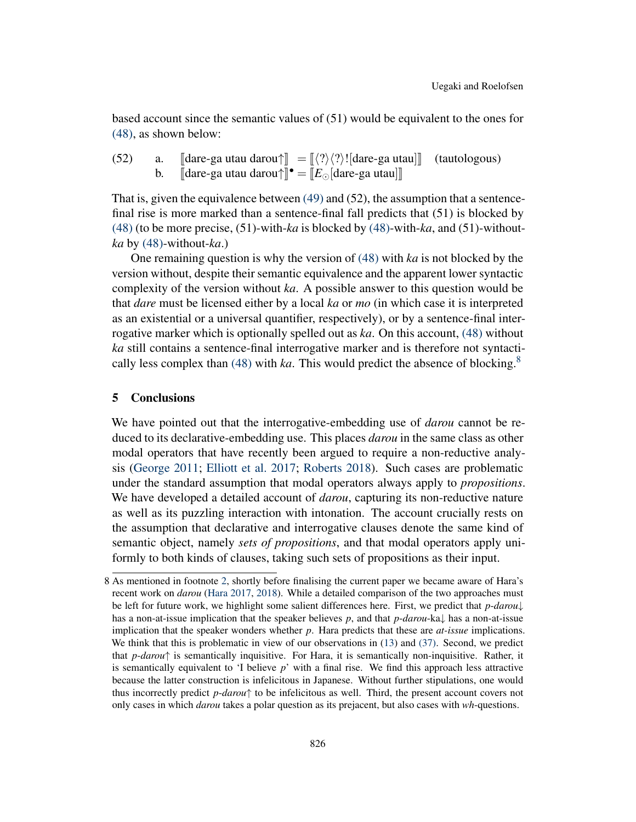based account since the semantic values of (51) would be equivalent to the ones for [\(48\),](#page-17-1) as shown below:

(52) a. [dare-ga utau darou
$$
\uparrow
$$
] =  $[[\langle ? \rangle \langle ? \rangle]$  [dare-ga utau]] (tautologous)  
b. [dare-ga utau darou $\uparrow$ ] =  $[E_{\odot}$  [dare-ga utau]] (tautologous)

That is, given the equivalence between [\(49\)](#page-17-4) and (52), the assumption that a sentencefinal rise is more marked than a sentence-final fall predicts that (51) is blocked by [\(48\)](#page-17-1) (to be more precise, (51)-with-*ka* is blocked by [\(48\)-](#page-17-1)with-*ka*, and (51)-without*ka* by [\(48\)](#page-17-1)-without-*ka*.)

One remaining question is why the version of [\(48\)](#page-17-1) with *ka* is not blocked by the version without, despite their semantic equivalence and the apparent lower syntactic complexity of the version without *ka*. A possible answer to this question would be that *dare* must be licensed either by a local *ka* or *mo* (in which case it is interpreted as an existential or a universal quantifier, respectively), or by a sentence-final interrogative marker which is optionally spelled out as *ka*. On this account, [\(48\)](#page-17-1) without *ka* still contains a sentence-final interrogative marker and is therefore not syntacti-cally less complex than [\(48\)](#page-17-1) with *ka*. This would predict the absence of blocking.<sup>[8](#page-18-1)</sup>

#### <span id="page-18-0"></span>5 Conclusions

We have pointed out that the interrogative-embedding use of *darou* cannot be reduced to its declarative-embedding use. This places *darou* in the same class as other modal operators that have recently been argued to require a non-reductive analysis ([George](#page-19-6) [2011;](#page-19-6) [Elliott et al.](#page-19-8) [2017;](#page-19-8) [Roberts](#page-20-7) [2018](#page-20-7)). Such cases are problematic under the standard assumption that modal operators always apply to *propositions*. We have developed a detailed account of *darou*, capturing its non-reductive nature as well as its puzzling interaction with intonation. The account crucially rests on the assumption that declarative and interrogative clauses denote the same kind of semantic object, namely *sets of propositions*, and that modal operators apply uniformly to both kinds of clauses, taking such sets of propositions as their input.

<span id="page-18-1"></span><sup>8</sup> As mentioned in footnote [2](#page-3-3), shortly before finalising the current paper we became aware of Hara's recent work on *darou* ([Hara](#page-19-9) [2017,](#page-19-9) [2018](#page-19-10)). While a detailed comparison of the two approaches must be left for future work, we highlight some salient differences here. First, we predict that *p*-*darou↓* has a non-at-issue implication that the speaker believes *p*, and that *p*-*darou*-ka*↓* has a non-at-issue implication that the speaker wonders whether *p*. Hara predicts that these are *at-issue* implications. We think that this is problematic in view of our observations in ([13\)](#page-5-1) and [\(37\).](#page-13-4) Second, we predict that *p*-*darou↑* is semantically inquisitive. For Hara, it is semantically non-inquisitive. Rather, it is semantically equivalent to 'I believe *p*' with a final rise. We find this approach less attractive because the latter construction is infelicitous in Japanese. Without further stipulations, one would thus incorrectly predict *p*-*darou↑* to be infelicitous as well. Third, the present account covers not only cases in which *darou* takes a polar question as its prejacent, but also cases with *wh*-questions.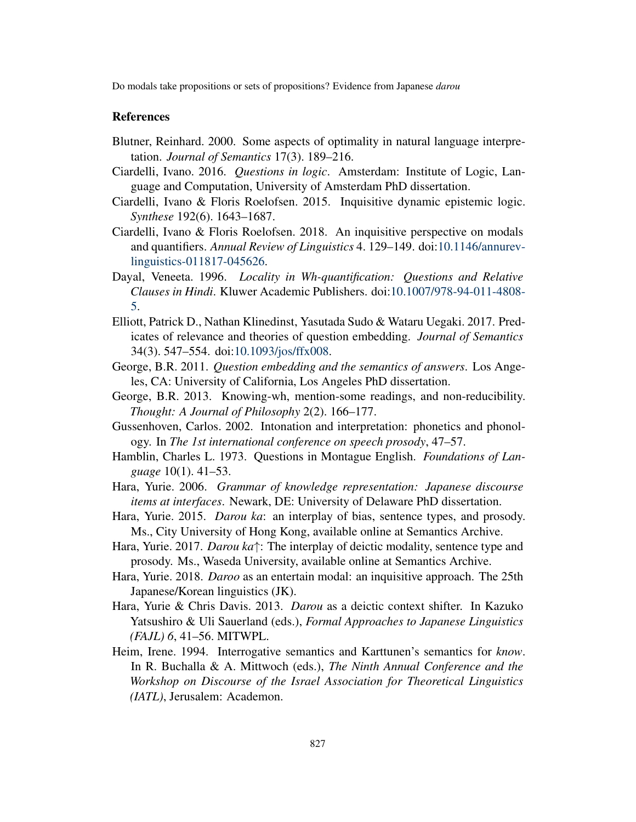# References

- <span id="page-19-12"></span>Blutner, Reinhard. 2000. Some aspects of optimality in natural language interpretation. *Journal of Semantics* 17(3). 189–216.
- <span id="page-19-11"></span>Ciardelli, Ivano. 2016. *Questions in logic*. Amsterdam: Institute of Logic, Language and Computation, University of Amsterdam PhD dissertation.
- <span id="page-19-4"></span>Ciardelli, Ivano & Floris Roelofsen. 2015. Inquisitive dynamic epistemic logic. *Synthese* 192(6). 1643–1687.
- <span id="page-19-5"></span>Ciardelli, Ivano & Floris Roelofsen. 2018. An inquisitive perspective on modals and quantifiers. *Annual Review of Linguistics* 4. 129–149. doi:[10.1146/annurev](http://dx.doi.org/10.1146/annurev-linguistics-011817-045626)[linguistics-011817-045626.](http://dx.doi.org/10.1146/annurev-linguistics-011817-045626)
- <span id="page-19-15"></span>Dayal, Veneeta. 1996. *Locality in Wh-quantification: Questions and Relative Clauses in Hindi*. Kluwer Academic Publishers. doi[:10.1007/978-94-011-4808-](http://dx.doi.org/10.1007/978-94-011-4808-5) [5.](http://dx.doi.org/10.1007/978-94-011-4808-5)
- <span id="page-19-8"></span>Elliott, Patrick D., Nathan Klinedinst, Yasutada Sudo & Wataru Uegaki. 2017. Predicates of relevance and theories of question embedding. *Journal of Semantics* 34(3). 547–554. doi:[10.1093/jos/ffx008.](http://dx.doi.org/10.1093/jos/ffx008)
- <span id="page-19-6"></span>George, B.R. 2011. *Question embedding and the semantics of answers*. Los Angeles, CA: University of California, Los Angeles PhD dissertation.
- <span id="page-19-7"></span>George, B.R. 2013. Knowing-wh, mention-some readings, and non-reducibility. *Thought: A Journal of Philosophy* 2(2). 166–177.
- <span id="page-19-13"></span>Gussenhoven, Carlos. 2002. Intonation and interpretation: phonetics and phonology. In *The 1st international conference on speech prosody*, 47–57.
- <span id="page-19-14"></span>Hamblin, Charles L. 1973. Questions in Montague English. *Foundations of Language* 10(1). 41–53.
- <span id="page-19-0"></span>Hara, Yurie. 2006. *Grammar of knowledge representation: Japanese discourse items at interfaces*. Newark, DE: University of Delaware PhD dissertation.
- <span id="page-19-2"></span>Hara, Yurie. 2015. *Darou ka*: an interplay of bias, sentence types, and prosody. Ms., City University of Hong Kong, available online at Semantics Archive.
- <span id="page-19-9"></span>Hara, Yurie. 2017. *Darou ka↑*: The interplay of deictic modality, sentence type and prosody. Ms., Waseda University, available online at Semantics Archive.
- <span id="page-19-10"></span>Hara, Yurie. 2018. *Daroo* as an entertain modal: an inquisitive approach. The 25th Japanese/Korean linguistics (JK).
- <span id="page-19-1"></span>Hara, Yurie & Chris Davis. 2013. *Darou* as a deictic context shifter. In Kazuko Yatsushiro & Uli Sauerland (eds.), *Formal Approaches to Japanese Linguistics (FAJL) 6*, 41–56. MITWPL.
- <span id="page-19-3"></span>Heim, Irene. 1994. Interrogative semantics and Karttunen's semantics for *know*. In R. Buchalla & A. Mittwoch (eds.), *The Ninth Annual Conference and the Workshop on Discourse of the Israel Association for Theoretical Linguistics (IATL)*, Jerusalem: Academon.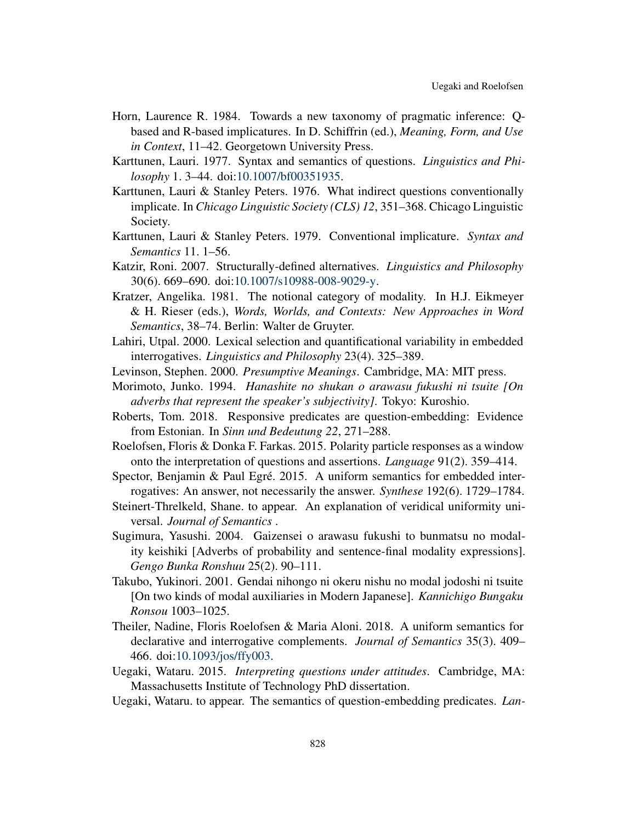- <span id="page-20-14"></span>Horn, Laurence R. 1984. Towards a new taxonomy of pragmatic inference: Qbased and R-based implicatures. In D. Schiffrin (ed.), *Meaning, Form, and Use in Context*, 11–42. Georgetown University Press.
- <span id="page-20-0"></span>Karttunen, Lauri. 1977. Syntax and semantics of questions. *Linguistics and Philosophy* 1. 3–44. doi:[10.1007/bf00351935.](http://dx.doi.org/10.1007/bf00351935)
- <span id="page-20-16"></span>Karttunen, Lauri & Stanley Peters. 1976. What indirect questions conventionally implicate. In *Chicago Linguistic Society (CLS) 12*, 351–368. Chicago Linguistic Society.
- <span id="page-20-17"></span>Karttunen, Lauri & Stanley Peters. 1979. Conventional implicature. *Syntax and Semantics* 11. 1–56.
- <span id="page-20-13"></span>Katzir, Roni. 2007. Structurally-defined alternatives. *Linguistics and Philosophy* 30(6). 669–690. doi:[10.1007/s10988-008-9029-y](http://dx.doi.org/10.1007/s10988-008-9029-y).
- <span id="page-20-12"></span>Kratzer, Angelika. 1981. The notional category of modality. In H.J. Eikmeyer & H. Rieser (eds.), *Words, Worlds, and Contexts: New Approaches in Word Semantics*, 38–74. Berlin: Walter de Gruyter.
- <span id="page-20-1"></span>Lahiri, Utpal. 2000. Lexical selection and quantificational variability in embedded interrogatives. *Linguistics and Philosophy* 23(4). 325–389.
- <span id="page-20-15"></span>Levinson, Stephen. 2000. *Presumptive Meanings*. Cambridge, MA: MIT press.
- <span id="page-20-8"></span>Morimoto, Junko. 1994. *Hanashite no shukan o arawasu fukushi ni tsuite [On adverbs that represent the speaker's subjectivity]*. Tokyo: Kuroshio.
- <span id="page-20-7"></span>Roberts, Tom. 2018. Responsive predicates are question-embedding: Evidence from Estonian. In *Sinn und Bedeutung 22*, 271–288.
- <span id="page-20-11"></span>Roelofsen, Floris & Donka F. Farkas. 2015. Polarity particle responses as a window onto the interpretation of questions and assertions. *Language* 91(2). 359–414.
- <span id="page-20-2"></span>Spector, Benjamin & Paul Egré. 2015. A uniform semantics for embedded interrogatives: An answer, not necessarily the answer. *Synthese* 192(6). 1729–1784.
- <span id="page-20-6"></span>Steinert-Threlkeld, Shane. to appear. An explanation of veridical uniformity universal. *Journal of Semantics* .
- <span id="page-20-10"></span>Sugimura, Yasushi. 2004. Gaizensei o arawasu fukushi to bunmatsu no modality keishiki [Adverbs of probability and sentence-final modality expressions]. *Gengo Bunka Ronshuu* 25(2). 90–111.
- <span id="page-20-9"></span>Takubo, Yukinori. 2001. Gendai nihongo ni okeru nishu no modal jodoshi ni tsuite [On two kinds of modal auxiliaries in Modern Japanese]. *Kannichigo Bungaku Ronsou* 1003–1025.
- <span id="page-20-4"></span>Theiler, Nadine, Floris Roelofsen & Maria Aloni. 2018. A uniform semantics for declarative and interrogative complements. *Journal of Semantics* 35(3). 409– 466. doi[:10.1093/jos/ffy003](http://dx.doi.org/10.1093/jos/ffy003).
- <span id="page-20-3"></span>Uegaki, Wataru. 2015. *Interpreting questions under attitudes*. Cambridge, MA: Massachusetts Institute of Technology PhD dissertation.
- <span id="page-20-5"></span>Uegaki, Wataru. to appear. The semantics of question-embedding predicates. *Lan-*